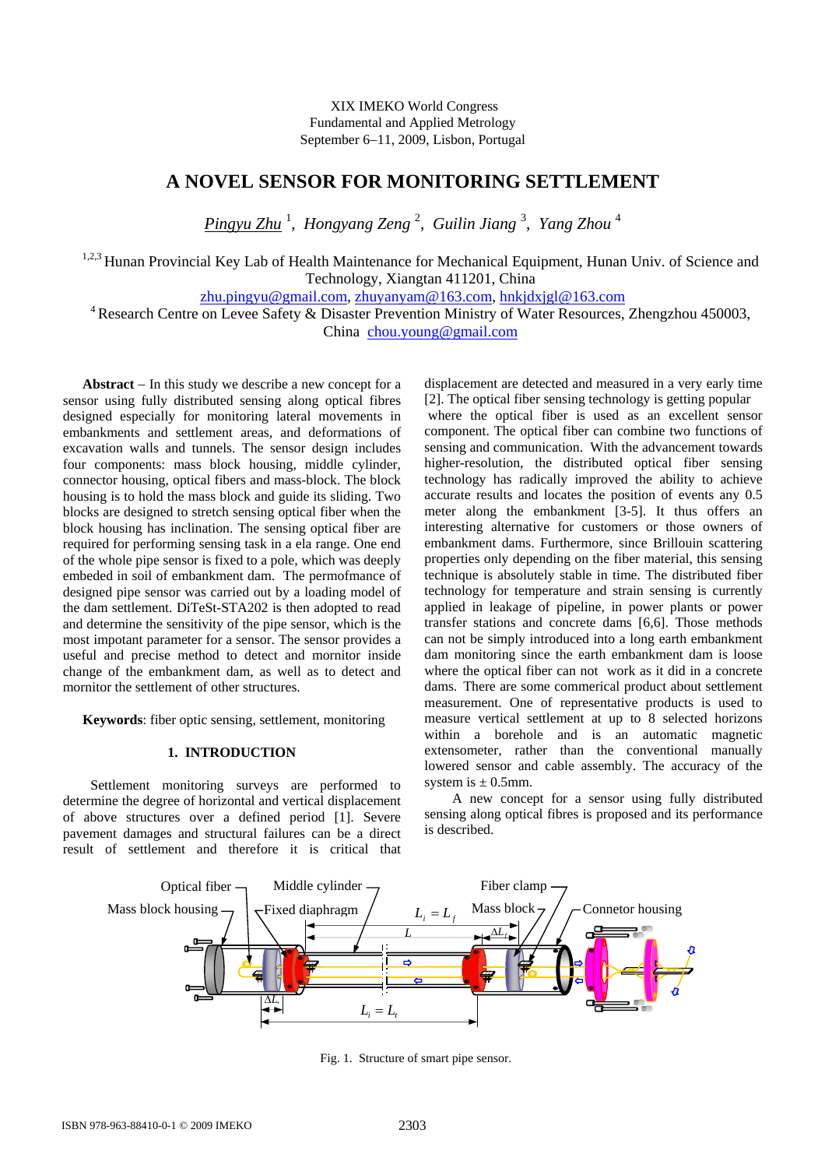XIX IMEKO World Congress Fundamental and Applied Metrology September 6−11, 2009, Lisbon, Portugal

# **A NOVEL SENSOR FOR MONITORING SETTLEMENT**

*Pingyu Zhu* <sup>1</sup> , *Hongyang Zeng* <sup>2</sup> , *Guilin Jiang* <sup>3</sup> , *Yang Zhou* <sup>4</sup>

<sup>1,2,3</sup> Hunan Provincial Key Lab of Health Maintenance for Mechanical Equipment, Hunan Univ. of Science and Technology, Xiangtan 411201, China

zhu.pingyu@gmail.com, zhuyanyam@163.com, hnkjdxjgl@163.com 450003, 4 Research Centre on Levee Safety & Disaster Prevention Ministry of Water Resources, Zhengzhou 450003, China chou.young@gmail.com

**Abstract** − In this study we describe a new concept for a sensor using fully distributed sensing along optical fibres designed especially for monitoring lateral movements in embankments and settlement areas, and deformations of excavation walls and tunnels. The sensor design includes four components: mass block housing, middle cylinder, connector housing, optical fibers and mass-block. The block housing is to hold the mass block and guide its sliding. Two blocks are designed to stretch sensing optical fiber when the block housing has inclination. The sensing optical fiber are required for performing sensing task in a ela range. One end of the whole pipe sensor is fixed to a pole, which was deeply embeded in soil of embankment dam. The permofmance of designed pipe sensor was carried out by a loading model of the dam settlement. DiTeSt-STA202 is then adopted to read and determine the sensitivity of the pipe sensor, which is the most impotant parameter for a sensor. The sensor provides a useful and precise method to detect and mornitor inside change of the embankment dam, as well as to detect and mornitor the settlement of other structures.

**Keywords**: fiber optic sensing, settlement, monitoring

## **1. INTRODUCTION**

Settlement monitoring surveys are performed to determine the degree of horizontal and vertical displacement of above structures over a defined period [1]. Severe pavement damages and structural failures can be a direct result of settlement and therefore it is critical that

displacement are detected and measured in a very early time [2]. The optical fiber sensing technology is getting popular

 where the optical fiber is used as an excellent sensor component. The optical fiber can combine two functions of sensing and communication. With the advancement towards higher-resolution, the distributed optical fiber sensing technology has radically improved the ability to achieve accurate results and locates the position of events any 0.5 meter along the embankment [3-5]. It thus offers an interesting alternative for customers or those owners of embankment dams. Furthermore, since Brillouin scattering properties only depending on the fiber material, this sensing technique is absolutely stable in time. The distributed fiber technology for temperature and strain sensing is currently applied in leakage of pipeline, in power plants or power transfer stations and concrete dams [6,6]. Those methods can not be simply introduced into a long earth embankment dam monitoring since the earth embankment dam is loose where the optical fiber can not work as it did in a concrete dams. There are some commerical product about settlement measurement. One of representative products is used to measure vertical settlement at up to 8 selected horizons within a borehole and is an automatic magnetic extensometer, rather than the conventional manually lowered sensor and cable assembly. The accuracy of the system is  $\pm$  0.5mm.

A new concept for a sensor using fully distributed sensing along optical fibres is proposed and its performance is described.



Fig. 1. Structure of smart pipe sensor.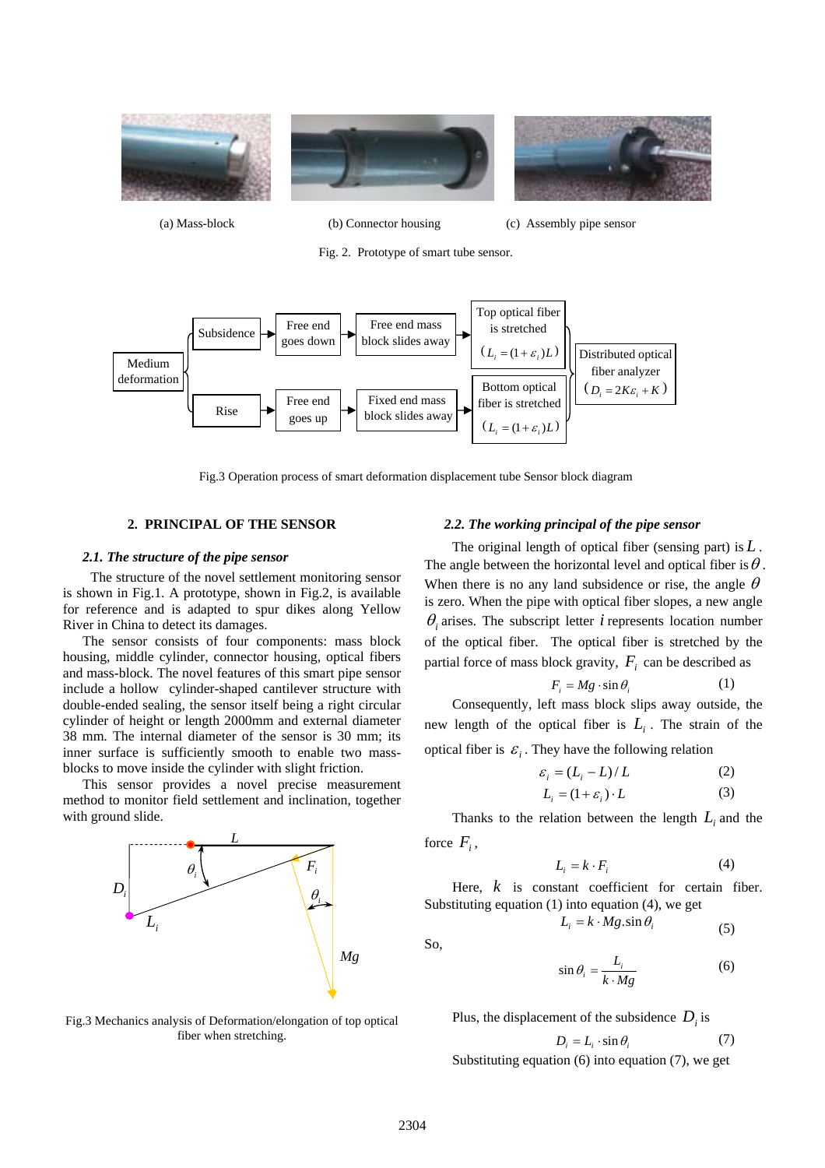

(a) Mass-block (b) Connector housing (c) Assembly pipe sensor

Fig. 2. Prototype of smart tube sensor.



Fig.3 Operation process of smart deformation displacement tube Sensor block diagram

## **2. PRINCIPAL OF THE SENSOR**

#### *2.1. The structure of the pipe sensor*

The structure of the novel settlement monitoring sensor is shown in Fig.1. A prototype, shown in Fig.2, is available for reference and is adapted to spur dikes along Yellow River in China to detect its damages.

The sensor consists of four components: mass block housing, middle cylinder, connector housing, optical fibers and mass-block. The novel features of this smart pipe sensor include a hollow cylinder-shaped cantilever structure with double-ended sealing, the sensor itself being a right circular cylinder of height or length 2000mm and external diameter 38 mm. The internal diameter of the sensor is 30 mm; its inner surface is sufficiently smooth to enable two massblocks to move inside the cylinder with slight friction.

This sensor provides a novel precise measurement method to monitor field settlement and inclination, together with ground slide.



Fig.3 Mechanics analysis of Deformation/elongation of top optical fiber when stretching.

#### *2.2. The working principal of the pipe sensor*

The original length of optical fiber (sensing part) is *L* . The angle between the horizontal level and optical fiber is  $\theta$ . When there is no any land subsidence or rise, the angle  $\theta$ is zero. When the pipe with optical fiber slopes, a new angle  $\theta$  arises. The subscript letter *i* represents location number of the optical fiber. The optical fiber is stretched by the partial force of mass block gravity,  $F_i$  can be described as

$$
F_i = Mg \cdot \sin \theta_i \tag{1}
$$

Consequently, left mass block slips away outside, the new length of the optical fiber is  $L_i$ . The strain of the

optical fiber is  $\varepsilon$ . They have the following relation

$$
\varepsilon_i = (L_i - L) / L \tag{2}
$$

$$
L_i = (1 + \varepsilon_i) \cdot L \tag{3}
$$

Thanks to the relation between the length  $L_i$  and the force  $F_i$ ,

$$
L_i = k \cdot F_i \tag{4}
$$

Here,  $k$  is constant coefficient for certain fiber. Substituting equation (1) into equation (4), we get

$$
L_i = k \cdot Mg \cdot \sin \theta_i \tag{5}
$$

So,

$$
\sin \theta_i = \frac{L_i}{k \cdot Mg} \tag{6}
$$

Plus, the displacement of the subsidence  $D_i$  is

$$
D_i = L_i \cdot \sin \theta_i \tag{7}
$$

Substituting equation (6) into equation (7), we get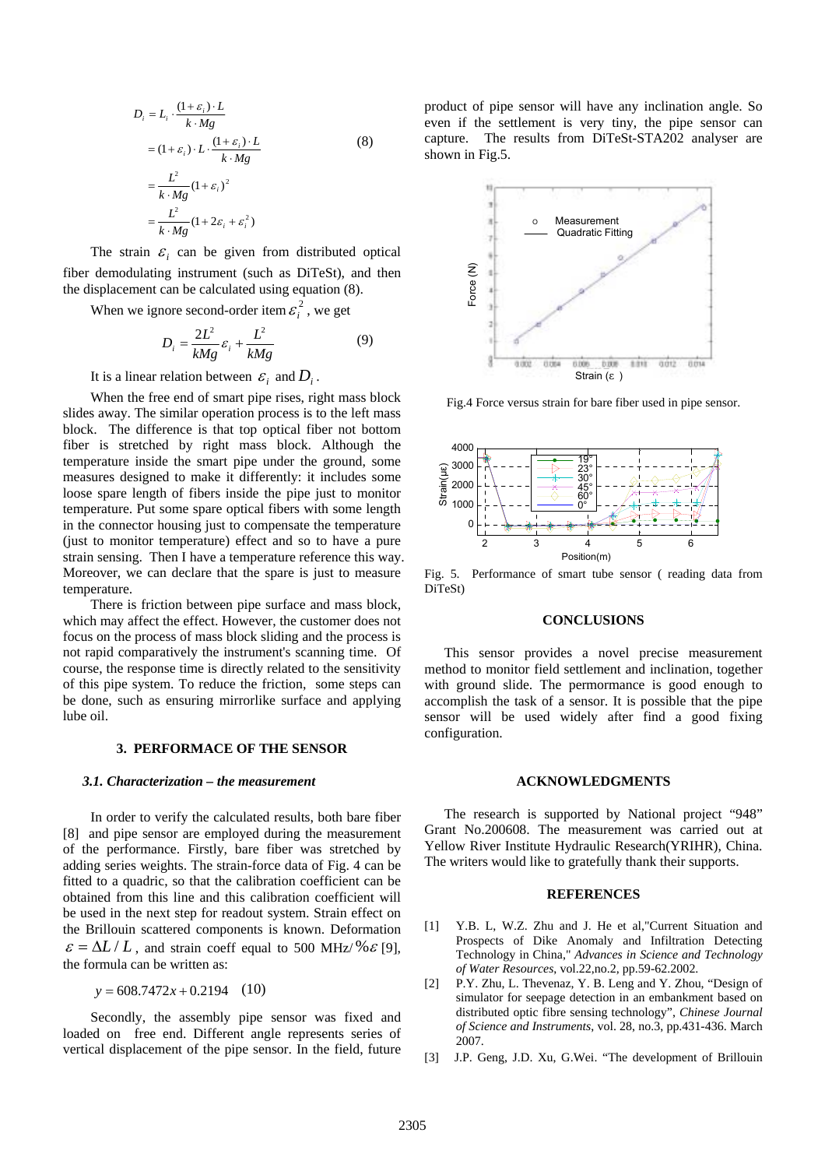$$
D_i = L_i \cdot \frac{(1+\varepsilon_i) \cdot L}{k \cdot Mg}
$$
  
=  $(1+\varepsilon_i) \cdot L \cdot \frac{(1+\varepsilon_i) \cdot L}{k \cdot Mg}$   
=  $\frac{L^2}{k \cdot Mg} (1+\varepsilon_i)^2$   
=  $\frac{L^2}{k \cdot Mg} (1+2\varepsilon_i + \varepsilon_i^2)$  (8)

The strain  $\varepsilon$ <sub>i</sub> can be given from distributed optical fiber demodulating instrument (such as DiTeSt), and then the displacement can be calculated using equation (8).

When we ignore second-order item  $\varepsilon_i^2$ , we get

$$
D_i = \frac{2L^2}{kMg} \varepsilon_i + \frac{L^2}{kMg}
$$
 (9)

It is a linear relation between  $\varepsilon_i$  and  $D_i$ .

When the free end of smart pipe rises, right mass block slides away. The similar operation process is to the left mass block. The difference is that top optical fiber not bottom fiber is stretched by right mass block. Although the temperature inside the smart pipe under the ground, some measures designed to make it differently: it includes some loose spare length of fibers inside the pipe just to monitor temperature. Put some spare optical fibers with some length in the connector housing just to compensate the temperature (just to monitor temperature) effect and so to have a pure strain sensing. Then I have a temperature reference this way. Moreover, we can declare that the spare is just to measure temperature.

There is friction between pipe surface and mass block, which may affect the effect. However, the customer does not focus on the process of mass block sliding and the process is not rapid comparatively the instrument's scanning time. Of course, the response time is directly related to the sensitivity of this pipe system. To reduce the friction, some steps can be done, such as ensuring mirrorlike surface and applying lube oil.

## **3. PERFORMACE OF THE SENSOR**

#### *3.1. Characterization – the measurement*

In order to verify the calculated results, both bare fiber [8] and pipe sensor are employed during the measurement of the performance. Firstly, bare fiber was stretched by adding series weights. The strain-force data of Fig. 4 can be fitted to a quadric, so that the calibration coefficient can be obtained from this line and this calibration coefficient will be used in the next step for readout system. Strain effect on the Brillouin scattered components is known. Deformation  $\varepsilon = \Delta L/L$ , and strain coeff equal to 500 MHz/% $\varepsilon$  [9], the formula can be written as:

*y* = 608.7472*x* + 0.2194 (10)

Secondly, the assembly pipe sensor was fixed and loaded on free end. Different angle represents series of vertical displacement of the pipe sensor. In the field, future product of pipe sensor will have any inclination angle. So even if the settlement is very tiny, the pipe sensor can capture. The results from DiTeSt-STA202 analyser are shown in Fig.5.



Fig.4 Force versus strain for bare fiber used in pipe sensor.



Fig. 5. Performance of smart tube sensor ( reading data from DiTeSt)

## **CONCLUSIONS**

This sensor provides a novel precise measurement method to monitor field settlement and inclination, together with ground slide. The permormance is good enough to accomplish the task of a sensor. It is possible that the pipe sensor will be used widely after find a good fixing configuration.

#### **ACKNOWLEDGMENTS**

The research is supported by National project "948" Grant No.200608. The measurement was carried out at Yellow River Institute Hydraulic Research(YRIHR), China. The writers would like to gratefully thank their supports.

#### **REFERENCES**

- [1] Y.B. L, W.Z. Zhu and J. He et al,"Current Situation and Prospects of Dike Anomaly and Infiltration Detecting Technology in China," *Advances in Science and Technology of Water Resources*, vol.22,no.2, pp.59-62.2002.
- [2] P.Y. Zhu, L. Thevenaz, Y. B. Leng and Y. Zhou, "Design of simulator for seepage detection in an embankment based on distributed optic fibre sensing technology", *Chinese Journal of Science and Instruments*, vol. 28, no.3, pp.431-436. March 2007.
- [3] J.P. Geng, J.D. Xu, G.Wei. "The development of Brillouin